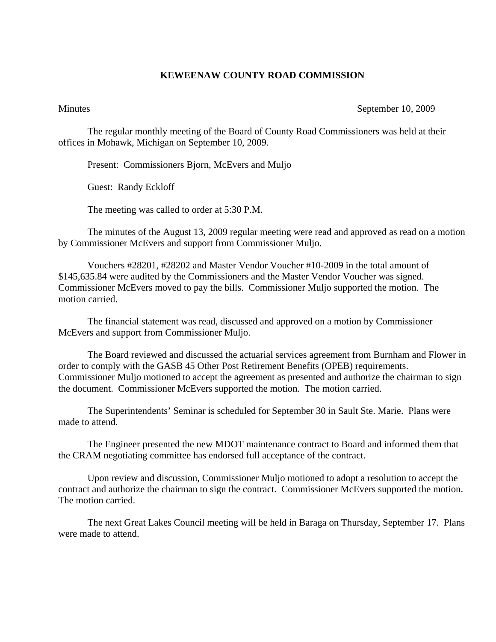## **KEWEENAW COUNTY ROAD COMMISSION**

## Minutes September 10, 2009

The regular monthly meeting of the Board of County Road Commissioners was held at their offices in Mohawk, Michigan on September 10, 2009.

Present: Commissioners Bjorn, McEvers and Muljo

Guest: Randy Eckloff

The meeting was called to order at 5:30 P.M.

 The minutes of the August 13, 2009 regular meeting were read and approved as read on a motion by Commissioner McEvers and support from Commissioner Muljo.

 Vouchers #28201, #28202 and Master Vendor Voucher #10-2009 in the total amount of \$145,635.84 were audited by the Commissioners and the Master Vendor Voucher was signed. Commissioner McEvers moved to pay the bills. Commissioner Muljo supported the motion. The motion carried.

 The financial statement was read, discussed and approved on a motion by Commissioner McEvers and support from Commissioner Muljo.

 The Board reviewed and discussed the actuarial services agreement from Burnham and Flower in order to comply with the GASB 45 Other Post Retirement Benefits (OPEB) requirements. Commissioner Muljo motioned to accept the agreement as presented and authorize the chairman to sign the document. Commissioner McEvers supported the motion. The motion carried.

 The Superintendents' Seminar is scheduled for September 30 in Sault Ste. Marie. Plans were made to attend.

 The Engineer presented the new MDOT maintenance contract to Board and informed them that the CRAM negotiating committee has endorsed full acceptance of the contract.

 Upon review and discussion, Commissioner Muljo motioned to adopt a resolution to accept the contract and authorize the chairman to sign the contract. Commissioner McEvers supported the motion. The motion carried.

 The next Great Lakes Council meeting will be held in Baraga on Thursday, September 17. Plans were made to attend.